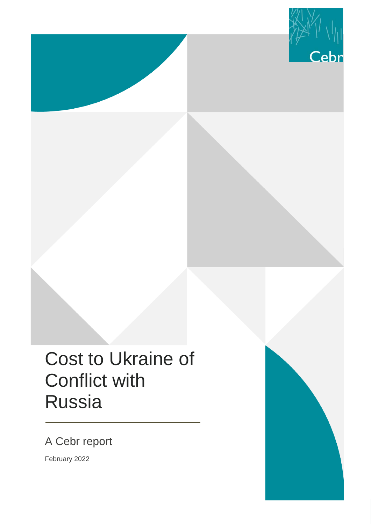

# Cost to Ukraine of Conflict with Russia

A Cebr report

February 2022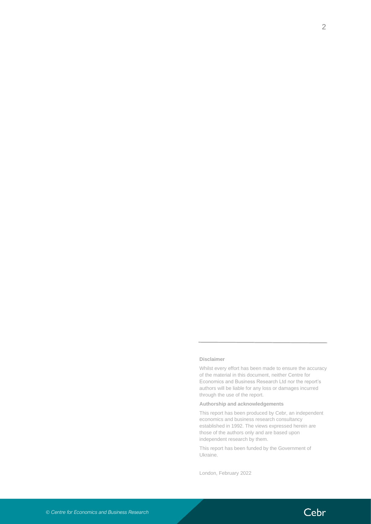#### **Disclaimer**

Whilst every effort has been made to ensure the accuracy of the material in this document, neither Centre for Economics and Business Research Ltd nor the report's authors will be liable for any loss or damages incurred through the use of the report.

#### **Authorship and acknowledgements**

This report has been produced by Cebr, an independent economics and business research consultancy established in 1992. The views expressed herein are those of the authors only and are based upon independent research by them.

This report has been funded by the Government of Ukraine.

London, February 2022

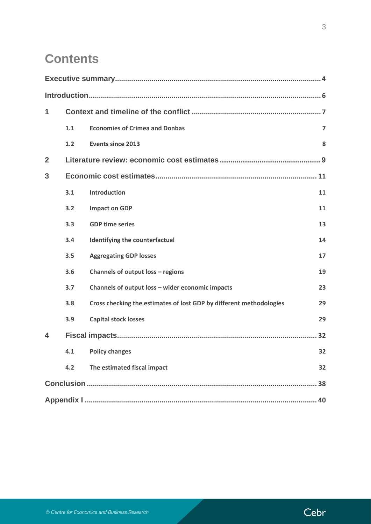# **Contents**

| 1              |     |                                                                     |                |
|----------------|-----|---------------------------------------------------------------------|----------------|
|                | 1.1 | <b>Economies of Crimea and Donbas</b>                               | $\overline{7}$ |
|                | 1.2 | <b>Events since 2013</b>                                            | 8              |
| $\overline{2}$ |     |                                                                     |                |
| 3              |     |                                                                     |                |
|                | 3.1 | <b>Introduction</b>                                                 | 11             |
|                | 3.2 | <b>Impact on GDP</b>                                                | 11             |
|                | 3.3 | <b>GDP time series</b>                                              | 13             |
|                | 3.4 | Identifying the counterfactual                                      | 14             |
|                | 3.5 | <b>Aggregating GDP losses</b>                                       | 17             |
|                | 3.6 | Channels of output loss - regions                                   | 19             |
|                | 3.7 | Channels of output loss - wider economic impacts                    | 23             |
|                | 3.8 | Cross checking the estimates of lost GDP by different methodologies | 29             |
|                | 3.9 | <b>Capital stock losses</b>                                         | 29             |
| 4              |     |                                                                     | 32             |
|                |     | 4.1 Policy changes                                                  | 32             |
|                | 4.2 | The estimated fiscal impact                                         | 32             |
|                |     |                                                                     | 38             |
|                |     |                                                                     |                |

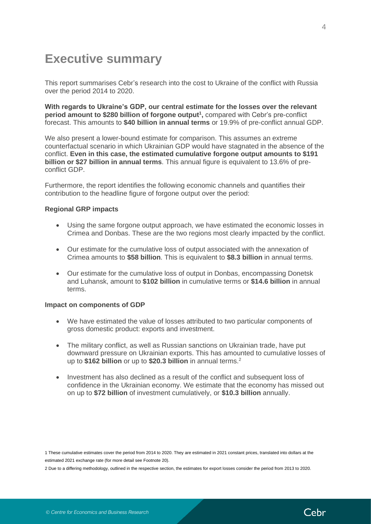# <span id="page-3-0"></span>**Executive summary**

This report summarises Cebr's research into the cost to Ukraine of the conflict with Russia over the period 2014 to 2020.

**With regards to Ukraine's GDP, our central estimate for the losses over the relevant period amount to \$280 billion of forgone output<sup>1</sup> ,** compared with Cebr's pre-conflict forecast. This amounts to **\$40 billion in annual terms** or 19.9% of pre-conflict annual GDP.

We also present a lower-bound estimate for comparison. This assumes an extreme counterfactual scenario in which Ukrainian GDP would have stagnated in the absence of the conflict. **Even in this case, the estimated cumulative forgone output amounts to \$191 billion or \$27 billion in annual terms**. This annual figure is equivalent to 13.6% of preconflict GDP.

Furthermore, the report identifies the following economic channels and quantifies their contribution to the headline figure of forgone output over the period:

#### **Regional GRP impacts**

- Using the same forgone output approach, we have estimated the economic losses in Crimea and Donbas. These are the two regions most clearly impacted by the conflict.
- Our estimate for the cumulative loss of output associated with the annexation of Crimea amounts to **\$58 billion**. This is equivalent to **\$8.3 billion** in annual terms.
- Our estimate for the cumulative loss of output in Donbas, encompassing Donetsk and Luhansk, amount to **\$102 billion** in cumulative terms or **\$14.6 billion** in annual terms.

#### **Impact on components of GDP**

- We have estimated the value of losses attributed to two particular components of gross domestic product: exports and investment.
- The military conflict, as well as Russian sanctions on Ukrainian trade, have put downward pressure on Ukrainian exports. This has amounted to cumulative losses of up to **\$162 billion** or up to **\$20.3 billion** in annual terms.<sup>2</sup>
- Investment has also declined as a result of the conflict and subsequent loss of confidence in the Ukrainian economy. We estimate that the economy has missed out on up to **\$72 billion** of investment cumulatively, or **\$10.3 billion** annually.

1 These cumulative estimates cover the period from 2014 to 2020. They are estimated in 2021 constant prices, translated into dollars at the estimated 2021 exchange rate (for more detail see Footnote 20).

2 Due to a differing methodology, outlined in the respective section, the estimates for export losses consider the period from 2013 to 2020.

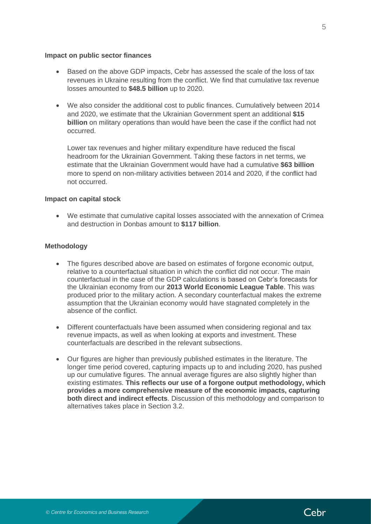#### **Impact on public sector finances**

- Based on the above GDP impacts, Cebr has assessed the scale of the loss of tax revenues in Ukraine resulting from the conflict. We find that cumulative tax revenue losses amounted to **\$48.5 billion** up to 2020.
- We also consider the additional cost to public finances. Cumulatively between 2014 and 2020, we estimate that the Ukrainian Government spent an additional **\$15 billion** on military operations than would have been the case if the conflict had not occurred.

Lower tax revenues and higher military expenditure have reduced the fiscal headroom for the Ukrainian Government. Taking these factors in net terms, we estimate that the Ukrainian Government would have had a cumulative **\$63 billion** more to spend on non-military activities between 2014 and 2020, if the conflict had not occurred.

#### **Impact on capital stock**

• We estimate that cumulative capital losses associated with the annexation of Crimea and destruction in Donbas amount to **\$117 billion**.

#### **Methodology**

- The figures described above are based on estimates of forgone economic output, relative to a counterfactual situation in which the conflict did not occur. The main counterfactual in the case of the GDP calculations is based on Cebr's forecasts for the Ukrainian economy from our **2013 World Economic League Table**. This was produced prior to the military action. A secondary counterfactual makes the extreme assumption that the Ukrainian economy would have stagnated completely in the absence of the conflict.
- Different counterfactuals have been assumed when considering regional and tax revenue impacts, as well as when looking at exports and investment. These counterfactuals are described in the relevant subsections.
- Our figures are higher than previously published estimates in the literature. The longer time period covered, capturing impacts up to and including 2020, has pushed up our cumulative figures. The annual average figures are also slightly higher than existing estimates. **This reflects our use of a forgone output methodology, which provides a more comprehensive measure of the economic impacts, capturing both direct and indirect effects**. Discussion of this methodology and comparison to alternatives takes place in Section 3.2.

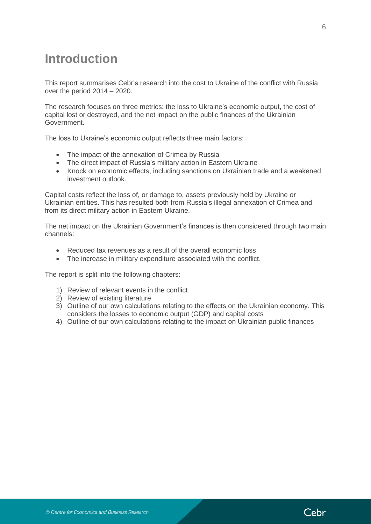# <span id="page-5-0"></span>**Introduction**

This report summarises Cebr's research into the cost to Ukraine of the conflict with Russia over the period 2014 – 2020.

The research focuses on three metrics: the loss to Ukraine's economic output, the cost of capital lost or destroyed, and the net impact on the public finances of the Ukrainian Government.

The loss to Ukraine's economic output reflects three main factors:

- The impact of the annexation of Crimea by Russia
- The direct impact of Russia's military action in Eastern Ukraine
- Knock on economic effects, including sanctions on Ukrainian trade and a weakened investment outlook.

Capital costs reflect the loss of, or damage to, assets previously held by Ukraine or Ukrainian entities. This has resulted both from Russia's illegal annexation of Crimea and from its direct military action in Eastern Ukraine.

The net impact on the Ukrainian Government's finances is then considered through two main channels:

- Reduced tax revenues as a result of the overall economic loss
- The increase in military expenditure associated with the conflict.

The report is split into the following chapters:

- 1) Review of relevant events in the conflict
- 2) Review of existing literature
- 3) Outline of our own calculations relating to the effects on the Ukrainian economy. This considers the losses to economic output (GDP) and capital costs
- 4) Outline of our own calculations relating to the impact on Ukrainian public finances

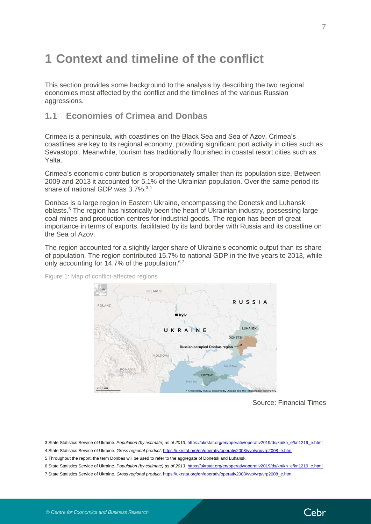# <span id="page-6-0"></span>**1 Context and timeline of the conflict**

This section provides some background to the analysis by describing the two regional economies most affected by the conflict and the timelines of the various Russian aggressions.

# <span id="page-6-1"></span>**1.1 Economies of Crimea and Donbas**

Crimea is a peninsula, with coastlines on the Black Sea and Sea of Azov. Crimea's coastlines are key to its regional economy, providing significant port activity in cities such as Sevastopol. Meanwhile, tourism has traditionally flourished in coastal resort cities such as Yalta.

Crimea's economic contribution is proportionately smaller than its population size. Between 2009 and 2013 it accounted for 5.1% of the Ukrainian population. Over the same period its share of national GDP was 3.7%.3,4

Donbas is a large region in Eastern Ukraine, encompassing the Donetsk and Luhansk oblasts.<sup>5</sup> The region has historically been the heart of Ukrainian industry, possessing large coal mines and production centres for industrial goods. The region has been of great importance in terms of exports, facilitated by its land border with Russia and its coastline on the Sea of Azov.

The region accounted for a slightly larger share of Ukraine's economic output than its share of population. The region contributed 15.7% to national GDP in the five years to 2013, while only accounting for 14.7% of the population. $6,7$ 



Figure 1: Map of conflict-affected regions

Source: Financial Times

Cebr

3 State Statistics Service of Ukraine. *Population (by estimate) as of 2013*[. https://ukrstat.org/en/operativ/operativ2019/ds/kn/kn\\_e/kn1219\\_e.html](https://ukrstat.org/en/operativ/operativ2019/ds/kn/kn_e/kn1219_e.html)

4 State Statistics Service of Ukraine. Gross regional product. [https://ukrstat.org/en/operativ/operativ2008/vvp/vrp/vrp2008\\_e.htm](https://ukrstat.org/en/operativ/operativ2008/vvp/vrp/vrp2008_e.htm)

5 Throughout the report, the term Donbas will be used to refer to the aggregate of Donetsk and Luhansk.

6 State Statistics Service of Ukraine. *Population (by estimate) as of 2013*[. https://ukrstat.org/en/operativ/operativ2019/ds/kn/kn\\_e/kn1219\\_e.html](https://ukrstat.org/en/operativ/operativ2019/ds/kn/kn_e/kn1219_e.html)

7 State Statistics Service of Ukraine. *Gross regional product*. [https://ukrstat.org/en/operativ/operativ2008/vvp/vrp/vrp2008\\_e.htm](https://ukrstat.org/en/operativ/operativ2008/vvp/vrp/vrp2008_e.htm)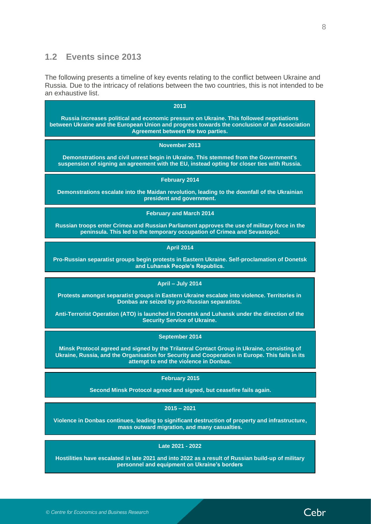### <span id="page-7-0"></span>**1.2 Events since 2013**

The following presents a timeline of key events relating to the conflict between Ukraine and Russia. Due to the intricacy of relations between the two countries, this is not intended to be an exhaustive list.

| an exhaustive list.                                                                                                                                                                                                                     |
|-----------------------------------------------------------------------------------------------------------------------------------------------------------------------------------------------------------------------------------------|
| 2013                                                                                                                                                                                                                                    |
| Russia increases political and economic pressure on Ukraine. This followed negotiations<br>between Ukraine and the European Union and progress towards the conclusion of an Association<br>Agreement between the two parties.           |
| November 2013                                                                                                                                                                                                                           |
| Demonstrations and civil unrest begin in Ukraine. This stemmed from the Government's<br>suspension of signing an agreement with the EU, instead opting for closer ties with Russia.                                                     |
| <b>February 2014</b>                                                                                                                                                                                                                    |
| Demonstrations escalate into the Maidan revolution, leading to the downfall of the Ukrainian<br>president and government.                                                                                                               |
| <b>February and March 2014</b>                                                                                                                                                                                                          |
| Russian troops enter Crimea and Russian Parliament approves the use of military force in the<br>peninsula. This led to the temporary occupation of Crimea and Sevastopol.                                                               |
| <b>April 2014</b>                                                                                                                                                                                                                       |
| Pro-Russian separatist groups begin protests in Eastern Ukraine. Self-proclamation of Donetsk<br>and Luhansk People's Republics.                                                                                                        |
| April - July 2014                                                                                                                                                                                                                       |
| Protests amongst separatist groups in Eastern Ukraine escalate into violence. Territories in<br>Donbas are seized by pro-Russian separatists.                                                                                           |
| Anti-Terrorist Operation (ATO) is launched in Donetsk and Luhansk under the direction of the<br><b>Security Service of Ukraine.</b>                                                                                                     |
| September 2014                                                                                                                                                                                                                          |
| Minsk Protocol agreed and signed by the Trilateral Contact Group in Ukraine, consisting of<br>Ukraine, Russia, and the Organisation for Security and Cooperation in Europe. This fails in its<br>attempt to end the violence in Donbas. |
| February 2015                                                                                                                                                                                                                           |
| Second Minsk Protocol agreed and signed, but ceasefire fails again.                                                                                                                                                                     |
| $2015 - 2021$                                                                                                                                                                                                                           |
| Violence in Donbas continues, leading to significant destruction of property and infrastructure,<br>mass outward migration, and many casualties.                                                                                        |
| Late 2021 - 2022                                                                                                                                                                                                                        |
| Hostilities have escalated in late 2021 and into 2022 as a result of Russian build-up of military                                                                                                                                       |

**personnel and equipment on Ukraine's borders**

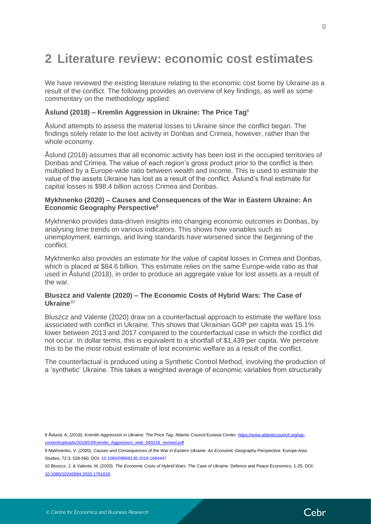# <span id="page-8-0"></span>**2 Literature review: economic cost estimates**

We have reviewed the existing literature relating to the economic cost borne by Ukraine as a result of the conflict. The following provides an overview of key findings, as well as some commentary on the methodology applied:

#### **Åslund (2018) – Kremlin Aggression in Ukraine: The Price Tag**<sup>8</sup>

Åslund attempts to assess the material losses to Ukraine since the conflict began. The findings solely relate to the lost activity in Donbas and Crimea, however, rather than the whole economy.

Åslund (2018) assumes that all economic activity has been lost in the occupied territories of Donbas and Crimea. The value of each region's gross product prior to the conflict is then multiplied by a Europe-wide ratio between wealth and income. This is used to estimate the value of the assets Ukraine has lost as a result of the conflict. Åslund's final estimate for capital losses is \$98.4 billion across Crimea and Donbas.

#### **Mykhnenko (2020) – Causes and Consequences of the War in Eastern Ukraine: An Economic Geography Perspective<sup>9</sup>**

Mykhnenko provides data-driven insights into changing economic outcomes in Donbas, by analysing time trends on various indicators. This shows how variables such as unemployment, earnings, and living standards have worsened since the beginning of the conflict.

Mykhnenko also provides an estimate for the value of capital losses in Crimea and Donbas, which is placed at \$84.6 billion. This estimate relies on the same Europe-wide ratio as that used in Åslund (2018), in order to produce an aggregate value for lost assets as a result of the war.

#### **Bluszcz and Valente (2020) – The Economic Costs of Hybrid Wars: The Case of Ukraine**<sup>10</sup>

Bluszcz and Valente (2020) draw on a counterfactual approach to estimate the welfare loss associated with conflict in Ukraine. This shows that Ukrainian GDP per capita was 15.1% lower between 2013 and 2017 compared to the counterfactual case in which the conflict did not occur. In dollar terms, this is equivalent to a shortfall of \$1,439 per capita. We perceive this to be the most robust estimate of lost economic welfare as a result of the conflict.

The counterfactual is produced using a Synthetic Control Method, involving the production of a 'synthetic' Ukraine. This takes a weighted average of economic variables from structurally

10 Bluszcz, J. & Valente, M. (2020). *The Economic Costs of Hybrid Wars: The Case of Ukraine*. Defence and Peace Economics, 1-25[. DOI:](https://doi.org/10.1080/10242694.2020.1791616)  [10.1080/10242694.2020.1791616](https://doi.org/10.1080/10242694.2020.1791616)



<sup>8</sup> Åslund, A. (2018). *Kremlin Aggression in Ukraine: The Price Tag*. Atlantic Council Eurasia Center[. https://www.atlanticcouncil.org/wp](https://www.atlanticcouncil.org/wp-content/uploads/2018/03/Kremlin_Aggression_web_040218_revised.pdf)[content/uploads/2018/03/Kremlin\\_Aggression\\_web\\_040218\\_revised.pdf](https://www.atlanticcouncil.org/wp-content/uploads/2018/03/Kremlin_Aggression_web_040218_revised.pdf)

<sup>9</sup> Mykhnenko, V. (2020). *Causes and Consequences of the War in Eastern Ukraine: An Economic Geography Perspective*. Europe-Asia Studies, 72:3, 528-560. DOI: [10.1080/09668136.2019.1684447](https://doi.org/10.1080/09668136.2019.1684447)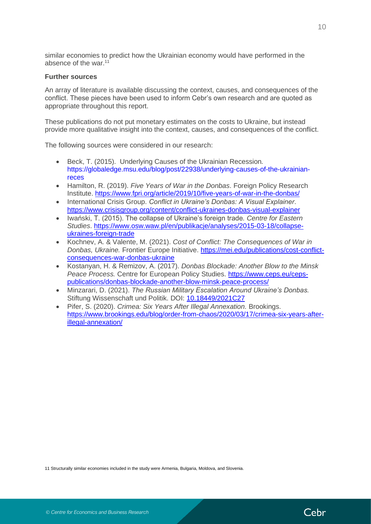similar economies to predict how the Ukrainian economy would have performed in the absence of the war.<sup>11</sup>

#### **Further sources**

An array of literature is available discussing the context, causes, and consequences of the conflict. These pieces have been used to inform Cebr's own research and are quoted as appropriate throughout this report.

These publications do not put monetary estimates on the costs to Ukraine, but instead provide more qualitative insight into the context, causes, and consequences of the conflict.

The following sources were considered in our research:

- Beck, T. (2015). Underlying Causes of the Ukrainian Recession*.* [https://globaledge.msu.edu/blog/post/22938/underlying-causes-of-the-ukrainian](https://globaledge.msu.edu/blog/post/22938/underlying-causes-of-the-ukrainian-reces)[reces](https://globaledge.msu.edu/blog/post/22938/underlying-causes-of-the-ukrainian-reces)
- Hamilton, R. (2019). *Five Years of War in the Donbas*. Foreign Policy Research Institute.<https://www.fpri.org/article/2019/10/five-years-of-war-in-the-donbas/>
- International Crisis Group. *Conflict in Ukraine's Donbas: A Visual Explainer*. <https://www.crisisgroup.org/content/conflict-ukraines-donbas-visual-explainer>
- [Iwański,](https://www.osw.waw.pl/en/eksperci/tadeusz-iwanski) T. (2015). The collapse of Ukraine's foreign trade*. Centre for Eastern Studies*. [https://www.osw.waw.pl/en/publikacje/analyses/2015-03-18/collapse](https://www.osw.waw.pl/en/publikacje/analyses/2015-03-18/collapse-ukraines-foreign-trade)[ukraines-foreign-trade](https://www.osw.waw.pl/en/publikacje/analyses/2015-03-18/collapse-ukraines-foreign-trade)
- Kochnev, A. & Valente, M. (2021). *Cost of Conflict: The Consequences of War in Donbas, Ukraine.* Frontier Europe Initiative. [https://mei.edu/publications/cost-conflict](https://mei.edu/publications/cost-conflict-consequences-war-donbas-ukraine)[consequences-war-donbas-ukraine](https://mei.edu/publications/cost-conflict-consequences-war-donbas-ukraine)
- Kostanyan, H. & Remizov, A. (2017). *Donbas Blockade: Another Blow to the Minsk Peace Process.* Centre for European Policy Studies. [https://www.ceps.eu/ceps](https://www.ceps.eu/ceps-publications/donbas-blockade-another-blow-minsk-peace-process/)[publications/donbas-blockade-another-blow-minsk-peace-process/](https://www.ceps.eu/ceps-publications/donbas-blockade-another-blow-minsk-peace-process/)
- Minzarari, D. (2021). *The Russian Military Escalation Around Ukraine's Donbas.* Stiftung Wissenschaft und Politik. DOI: [10.18449/2021C27](https://www.swp-berlin.org/10.18449/2021C27/)
- Pifer, S. (2020). *Crimea: Six Years After Illegal Annexation.* Brookings. [https://www.brookings.edu/blog/order-from-chaos/2020/03/17/crimea-six-years-after](https://www.brookings.edu/blog/order-from-chaos/2020/03/17/crimea-six-years-after-illegal-annexation/)[illegal-annexation/](https://www.brookings.edu/blog/order-from-chaos/2020/03/17/crimea-six-years-after-illegal-annexation/)

11 Structurally similar economies included in the study were Armenia, Bulgaria, Moldova, and Slovenia.

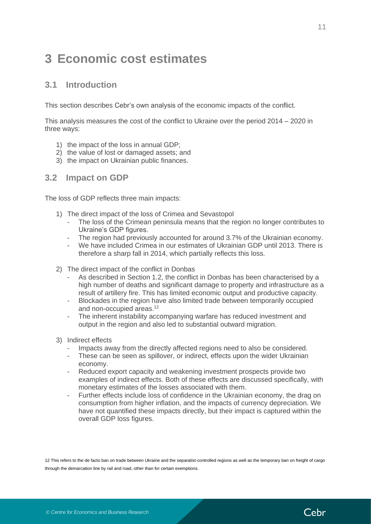# <span id="page-10-0"></span>**3 Economic cost estimates**

### <span id="page-10-1"></span>**3.1 Introduction**

This section describes Cebr's own analysis of the economic impacts of the conflict.

This analysis measures the cost of the conflict to Ukraine over the period 2014 – 2020 in three ways:

- 1) the impact of the loss in annual GDP;
- 2) the value of lost or damaged assets; and
- 3) the impact on Ukrainian public finances.

#### <span id="page-10-2"></span>**3.2 Impact on GDP**

The loss of GDP reflects three main impacts:

- 1) The direct impact of the loss of Crimea and Sevastopol
	- The loss of the Crimean peninsula means that the region no longer contributes to Ukraine's GDP figures.
	- The region had previously accounted for around 3.7% of the Ukrainian economy.
	- We have included Crimea in our estimates of Ukrainian GDP until 2013. There is therefore a sharp fall in 2014, which partially reflects this loss.
- 2) The direct impact of the conflict in Donbas
	- As described in Section 1.2, the conflict in Donbas has been characterised by a high number of deaths and significant damage to property and infrastructure as a result of artillery fire. This has limited economic output and productive capacity.
	- Blockades in the region have also limited trade between temporarily occupied and non-occupied areas.<sup>12</sup>
	- The inherent instability accompanying warfare has reduced investment and output in the region and also led to substantial outward migration.
- 3) Indirect effects
	- Impacts away from the directly affected regions need to also be considered.
	- These can be seen as spillover, or indirect, effects upon the wider Ukrainian economy.
	- Reduced export capacity and weakening investment prospects provide two examples of indirect effects. Both of these effects are discussed specifically, with monetary estimates of the losses associated with them.
	- Further effects include loss of confidence in the Ukrainian economy, the drag on consumption from higher inflation, and the impacts of currency depreciation. We have not quantified these impacts directly, but their impact is captured within the overall GDP loss figures.

12 This refers to the de facto ban on trade between Ukraine and the separatist-controlled regions as well as the temporary ban on freight of cargo through the demarcation line by rail and road, other than for certain exemptions.

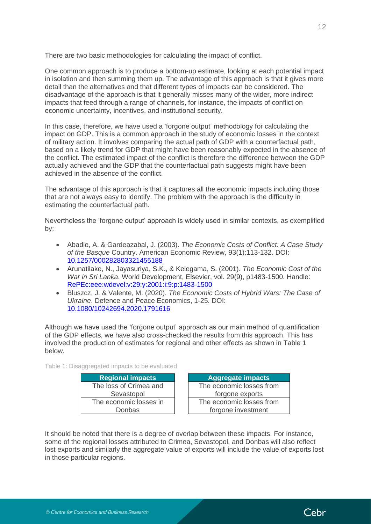There are two basic methodologies for calculating the impact of conflict.

One common approach is to produce a bottom-up estimate, looking at each potential impact in isolation and then summing them up. The advantage of this approach is that it gives more detail than the alternatives and that different types of impacts can be considered. The disadvantage of the approach is that it generally misses many of the wider, more indirect impacts that feed through a range of channels, for instance, the impacts of conflict on economic uncertainty, incentives, and institutional security.

In this case, therefore, we have used a 'forgone output' methodology for calculating the impact on GDP. This is a common approach in the study of economic losses in the context of military action. It involves comparing the actual path of GDP with a counterfactual path, based on a likely trend for GDP that might have been reasonably expected in the absence of the conflict. The estimated impact of the conflict is therefore the difference between the GDP actually achieved and the GDP that the counterfactual path suggests might have been achieved in the absence of the conflict.

The advantage of this approach is that it captures all the economic impacts including those that are not always easy to identify. The problem with the approach is the difficulty in estimating the counterfactual path.

Nevertheless the 'forgone output' approach is widely used in similar contexts, as exemplified by:

- Abadie, A. & Gardeazabal, J. (2003). *The Economic Costs of Conflict: A Case Study of the Basque* Country. American Economic Review, 93(1):113-132. DOI: [10.1257/000282803321455188](https://doi.org/10.1257/000282803321455188)
- Arunatilake, N., Jayasuriya, S.K., & Kelegama, S. (2001). *The Economic Cost of the War in Sri Lanka*. World Development, Elsevier, vol. 29(9), p1483-1500. Handle: [RePEc:eee:wdevel:v:29:y:2001:i:9:p:1483-1500](https://ideas.repec.org/a/eee/wdevel/v29y2001i9p1483-1500.html)
- Bluszcz, J. & Valente, M. (2020). *The Economic Costs of Hybrid Wars: The Case of Ukraine*. Defence and Peace Economics, 1-25. [DOI:](https://doi.org/10.1080/10242694.2020.1791616)  [10.1080/10242694.2020.1791616](https://doi.org/10.1080/10242694.2020.1791616)

Although we have used the 'forgone output' approach as our main method of quantification of the GDP effects, we have also cross-checked the results from this approach. This has involved the production of estimates for regional and other effects as shown in [Table 1](#page-11-0) below.

<span id="page-11-0"></span>Table 1: Disaggregated impacts to be evaluated

| <b>Regional impacts</b> |  |  |  |
|-------------------------|--|--|--|
| The loss of Crimea and  |  |  |  |
| Sevastopol              |  |  |  |
| The economic losses in  |  |  |  |
| Donbas                  |  |  |  |

| <b>Regional impacts</b> |  | <b>Aggregate impacts</b> |
|-------------------------|--|--------------------------|
| e loss of Crimea and    |  | The economic losses from |
| Sevastopol              |  | forgone exports          |
| e economic losses in    |  | The economic losses from |
| Donbas                  |  | forgone investment       |

It should be noted that there is a degree of overlap between these impacts. For instance, some of the regional losses attributed to Crimea, Sevastopol, and Donbas will also reflect lost exports and similarly the aggregate value of exports will include the value of exports lost in those particular regions.

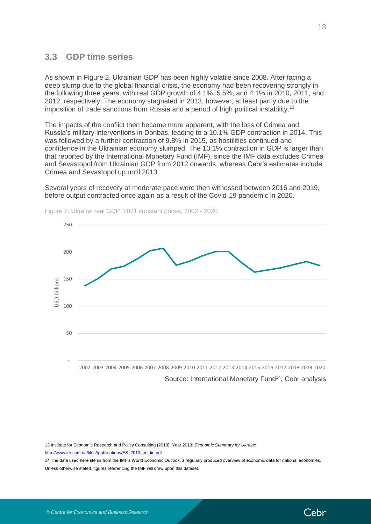### <span id="page-12-0"></span>**3.3 GDP time series**

As shown in Figure 2, Ukrainian GDP has been highly volatile since 2008. After facing a deep slump due to the global financial crisis, the economy had been recovering strongly in the following three years, with real GDP growth of 4.1%, 5.5%, and 4.1% in 2010, 2011, and 2012, respectively. The economy stagnated in 2013, however, at least partly due to the imposition of trade sanctions from Russia and a period of high political instability.<sup>13</sup>

The impacts of the conflict then became more apparent, with the loss of Crimea and Russia's military interventions in Donbas, leading to a 10.1% GDP contraction in 2014. This was followed by a further contraction of 9.8% in 2015, as hostilities continued and confidence in the Ukrainian economy slumped. The 10.1% contraction in GDP is larger than that reported by the International Monetary Fund (IMF), since the IMF data excludes Crimea and Sevastopol from Ukrainian GDP from 2012 onwards, whereas Cebr's estimates include Crimea and Sevastopol up until 2013.

Several years of recovery at moderate pace were then witnessed between 2016 and 2019, before output contracted once again as a result of the Covid-19 pandemic in 2020.



Figure 2: Ukraine real GDP, 2021 constant prices, 2002 - 2020

Source: International Monetary Fund<sup>14</sup>, Cebr analysis

13 Institute for Economic Research and Policy Consulting (2013). Year 2013: *Economic Summary for Ukraine*. [http://www.ier.com.ua/files//publications/ES\\_2013\\_en\\_fin.pdf](http://www.ier.com.ua/files/publications/ES_2013_en_fin.pdf)

14 The data used here stems from the IMF's World Economic Outlook, a regularly produced overview of economic data for national economies. Unless otherwise stated, figures referencing the IMF will draw upon this dataset.

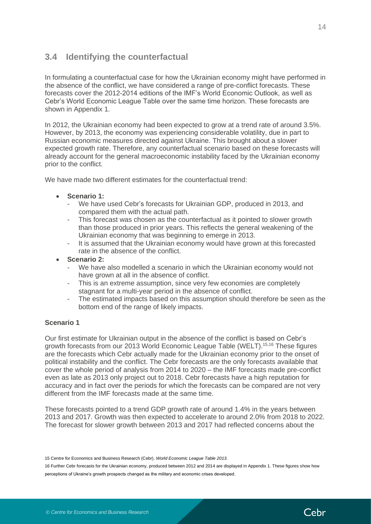### <span id="page-13-0"></span>**3.4 Identifying the counterfactual**

In formulating a counterfactual case for how the Ukrainian economy might have performed in the absence of the conflict, we have considered a range of pre-conflict forecasts. These forecasts cover the 2012-2014 editions of the IMF's World Economic Outlook, as well as Cebr's World Economic League Table over the same time horizon. These forecasts are shown in Appendix 1.

In 2012, the Ukrainian economy had been expected to grow at a trend rate of around 3.5%. However, by 2013, the economy was experiencing considerable volatility, due in part to Russian economic measures directed against Ukraine. This brought about a slower expected growth rate. Therefore, any counterfactual scenario based on these forecasts will already account for the general macroeconomic instability faced by the Ukrainian economy prior to the conflict.

We have made two different estimates for the counterfactual trend:

- **Scenario 1:** 
	- We have used Cebr's forecasts for Ukrainian GDP, produced in 2013, and compared them with the actual path.
	- This forecast was chosen as the counterfactual as it pointed to slower growth than those produced in prior years. This reflects the general weakening of the Ukrainian economy that was beginning to emerge in 2013.
	- It is assumed that the Ukrainian economy would have grown at this forecasted rate in the absence of the conflict.
- **Scenario 2:** 
	- We have also modelled a scenario in which the Ukrainian economy would not have grown at all in the absence of conflict.
	- This is an extreme assumption, since very few economies are completely stagnant for a multi-year period in the absence of conflict.
	- The estimated impacts based on this assumption should therefore be seen as the bottom end of the range of likely impacts.

#### **Scenario 1**

Our first estimate for Ukrainian output in the absence of the conflict is based on Cebr's growth forecasts from our 2013 World Economic League Table (WELT). 15,16 These figures are the forecasts which Cebr actually made for the Ukrainian economy prior to the onset of political instability and the conflict. The Cebr forecasts are the only forecasts available that cover the whole period of analysis from 2014 to 2020 – the IMF forecasts made pre-conflict even as late as 2013 only project out to 2018. Cebr forecasts have a high reputation for accuracy and in fact over the periods for which the forecasts can be compared are not very different from the IMF forecasts made at the same time.

These forecasts pointed to a trend GDP growth rate of around 1.4% in the years between 2013 and 2017. Growth was then expected to accelerate to around 2.0% from 2018 to 2022. The forecast for slower growth between 2013 and 2017 had reflected concerns about the



<sup>15</sup> Centre for Economics and Business Research (Cebr). *World Economic League Table 2013*.

<sup>16</sup> Further Cebr forecasts for the Ukrainian economy, produced between 2012 and 2014 are displayed in Appendix 1. These figures show how perceptions of Ukraine's growth prospects changed as the military and economic crises developed.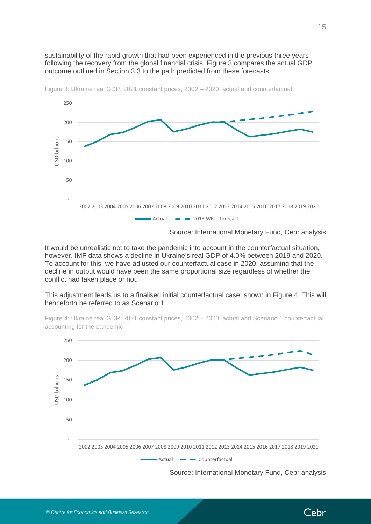sustainability of the rapid growth that had been experienced in the previous three years following the recovery from the global financial crisis. Figure 3 compares the actual GDP outcome outlined in Section 3.3 to the path predicted from these forecasts.



Figure 3: Ukraine real GDP, 2021 constant prices, 2002 – 2020, actual and counterfactual

Source: International Monetary Fund, Cebr analysis

It would be unrealistic not to take the pandemic into account in the counterfactual situation, however. IMF data shows a decline in Ukraine's real GDP of 4.0% between 2019 and 2020. To account for this, we have adjusted our counterfactual case in 2020, assuming that the decline in output would have been the same proportional size regardless of whether the conflict had taken place or not.

This adjustment leads us to a finalised initial counterfactual case, shown in Figure 4. This will henceforth be referred to as Scenario 1.



Figure 4: Ukraine real GDP, 2021 constant prices, 2002 – 2020, actual and Scenario 1 counterfactual accounting for the pandemic

Source: International Monetary Fund, Cebr analysis

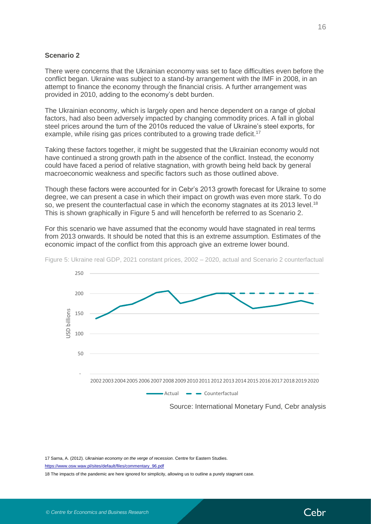#### **Scenario 2**

There were concerns that the Ukrainian economy was set to face difficulties even before the conflict began. Ukraine was subject to a stand-by arrangement with the IMF in 2008, in an attempt to finance the economy through the financial crisis. A further arrangement was provided in 2010, adding to the economy's debt burden.

The Ukrainian economy, which is largely open and hence dependent on a range of global factors, had also been adversely impacted by changing commodity prices. A fall in global steel prices around the turn of the 2010s reduced the value of Ukraine's steel exports, for example, while rising gas prices contributed to a growing trade deficit.<sup>17</sup>

Taking these factors together, it might be suggested that the Ukrainian economy would not have continued a strong growth path in the absence of the conflict. Instead, the economy could have faced a period of relative stagnation, with growth being held back by general macroeconomic weakness and specific factors such as those outlined above.

Though these factors were accounted for in Cebr's 2013 growth forecast for Ukraine to some degree, we can present a case in which their impact on growth was even more stark. To do so, we present the counterfactual case in which the economy stagnates at its 2013 level.<sup>18</sup> This is shown graphically in Figure 5 and will henceforth be referred to as Scenario 2.

For this scenario we have assumed that the economy would have stagnated in real terms from 2013 onwards. It should be noted that this is an extreme assumption. Estimates of the economic impact of the conflict from this approach give an extreme lower bound.



Figure 5: Ukraine real GDP, 2021 constant prices, 2002 – 2020, actual and Scenario 2 counterfactual

17 Sarna, A. (2012). *Ukrainian economy on the verge of recession*. Centre for Eastern Studies.

[https://www.osw.waw.pl/sites/default/files/commentary\\_96.pdf](https://www.osw.waw.pl/sites/default/files/commentary_96.pdf)

18 The impacts of the pandemic are here ignored for simplicity, allowing us to outline a purely stagnant case.

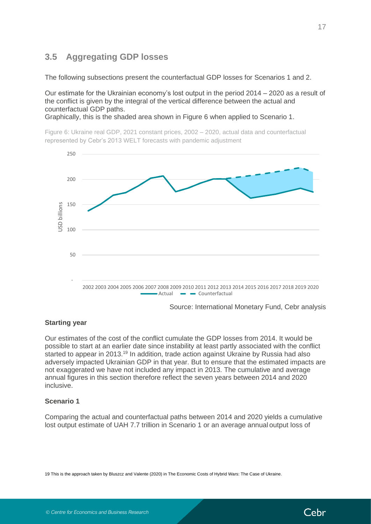# <span id="page-16-0"></span>**3.5 Aggregating GDP losses**

The following subsections present the counterfactual GDP losses for Scenarios 1 and 2.

Our estimate for the Ukrainian economy's lost output in the period 2014 – 2020 as a result of the conflict is given by the integral of the vertical difference between the actual and counterfactual GDP paths.

Graphically, this is the shaded area shown in Figure 6 when applied to Scenario 1.

Figure 6: Ukraine real GDP, 2021 constant prices, 2002 – 2020, actual data and counterfactual represented by Cebr's 2013 WELT forecasts with pandemic adjustment



Source: International Monetary Fund, Cebr analysis

#### **Starting year**

Our estimates of the cost of the conflict cumulate the GDP losses from 2014. It would be possible to start at an earlier date since instability at least partly associated with the conflict started to appear in 2013.<sup>19</sup> In addition, trade action against Ukraine by Russia had also adversely impacted Ukrainian GDP in that year. But to ensure that the estimated impacts are not exaggerated we have not included any impact in 2013. The cumulative and average annual figures in this section therefore reflect the seven years between 2014 and 2020 **inclusive** 

#### **Scenario 1**

Comparing the actual and counterfactual paths between 2014 and 2020 yields a cumulative lost output estimate of UAH 7.7 trillion in Scenario 1 or an average annual output loss of

19 This is the approach taken by Bluszcz and Valente (2020) in The Economic Costs of Hybrid Wars: The Case of Ukraine.

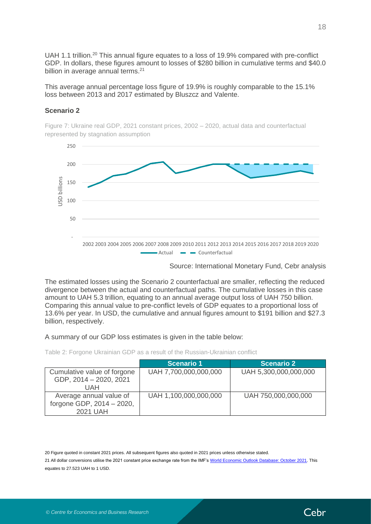UAH 1.1 trillion.<sup>20</sup> This annual figure equates to a loss of 19.9% compared with pre-conflict GDP. In dollars, these figures amount to losses of \$280 billion in cumulative terms and \$40.0 billion in average annual terms.<sup>21</sup>

This average annual percentage loss figure of 19.9% is roughly comparable to the 15.1% loss between 2013 and 2017 estimated by Bluszcz and Valente.

#### **Scenario 2**

Figure 7: Ukraine real GDP, 2021 constant prices, 2002 – 2020, actual data and counterfactual represented by stagnation assumption



Source: International Monetary Fund, Cebr analysis

The estimated losses using the Scenario 2 counterfactual are smaller, reflecting the reduced divergence between the actual and counterfactual paths. The cumulative losses in this case amount to UAH 5.3 trillion, equating to an annual average output loss of UAH 750 billion. Comparing this annual value to pre-conflict levels of GDP equates to a proportional loss of 13.6% per year. In USD, the cumulative and annual figures amount to \$191 billion and \$27.3 billion, respectively.

A summary of our GDP loss estimates is given in the table below:

Table 2: Forgone Ukrainian GDP as a result of the Russian-Ukrainian conflict

|                                                                  | <b>Scenario 1</b>     | <b>Scenario 2</b>     |
|------------------------------------------------------------------|-----------------------|-----------------------|
| Cumulative value of forgone<br>GDP, 2014 - 2020, 2021<br>UAH     | UAH 7,700,000,000,000 | UAH 5,300,000,000,000 |
| Average annual value of<br>forgone GDP, 2014 - 2020,<br>2021 UAH | UAH 1,100,000,000,000 | UAH 750,000,000,000   |

20 Figure quoted in constant 2021 prices. All subsequent figures also quoted in 2021 prices unless otherwise stated.

21 All dollar conversions utilise the 2021 constant price exchange rate from the IMF'[s World Economic Outlook Database: October 2021.](https://www.imf.org/en/Publications/WEO/weo-database/2021/October) This equates to 27.523 UAH to 1 USD.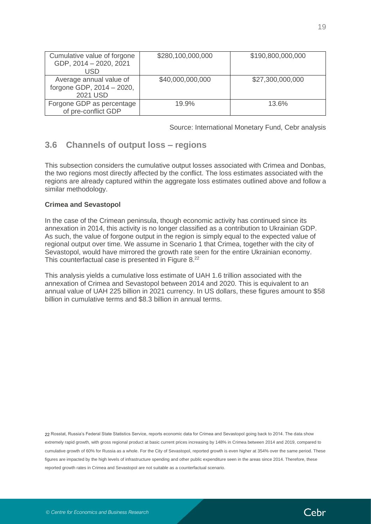| Cumulative value of forgone<br>GDP, 2014 - 2020, 2021<br>USD     | \$280,100,000,000 | \$190,800,000,000 |
|------------------------------------------------------------------|-------------------|-------------------|
| Average annual value of<br>forgone GDP, 2014 - 2020,<br>2021 USD | \$40,000,000,000  | \$27,300,000,000  |
| Forgone GDP as percentage<br>of pre-conflict GDP                 | 19.9%             | 13.6%             |

Source: International Monetary Fund, Cebr analysis

# <span id="page-18-0"></span>**3.6 Channels of output loss – regions**

This subsection considers the cumulative output losses associated with Crimea and Donbas, the two regions most directly affected by the conflict. The loss estimates associated with the regions are already captured within the aggregate loss estimates outlined above and follow a similar methodology.

#### **Crimea and Sevastopol**

In the case of the Crimean peninsula, though economic activity has continued since its annexation in 2014, this activity is no longer classified as a contribution to Ukrainian GDP. As such, the value of forgone output in the region is simply equal to the expected value of regional output over time. We assume in Scenario 1 that Crimea, together with the city of Sevastopol, would have mirrored the growth rate seen for the entire Ukrainian economy. This counterfactual case is presented in Figure 8.<sup>22</sup>

This analysis yields a cumulative loss estimate of UAH 1.6 trillion associated with the annexation of Crimea and Sevastopol between 2014 and 2020. This is equivalent to an annual value of UAH 225 billion in 2021 currency. In US dollars, these figures amount to \$58 billion in cumulative terms and \$8.3 billion in annual terms.

22 Rosstat, Russia's Federal State Statistics Service, reports economic data for Crimea and Sevastopol going back to 2014. The data show extremely rapid growth, with gross regional product at basic current prices increasing by 148% in Crimea between 2014 and 2019, compared to cumulative growth of 60% for Russia as a whole. For the City of Sevastopol, reported growth is even higher at 354% over the same period. These figures are impacted by the high levels of infrastructure spending and other public expenditure seen in the areas since 2014. Therefore, these reported growth rates in Crimea and Sevastopol are not suitable as a counterfactual scenario.

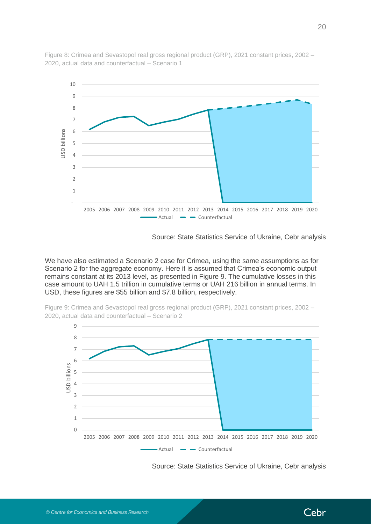

Figure 8: Crimea and Sevastopol real gross regional product (GRP), 2021 constant prices, 2002 – 2020, actual data and counterfactual – Scenario 1

Source: State Statistics Service of Ukraine, Cebr analysis

We have also estimated a Scenario 2 case for Crimea, using the same assumptions as for Scenario 2 for the aggregate economy. Here it is assumed that Crimea's economic output remains constant at its 2013 level, as presented in Figure 9. The cumulative losses in this case amount to UAH 1.5 trillion in cumulative terms or UAH 216 billion in annual terms. In USD, these figures are \$55 billion and \$7.8 billion, respectively.





Source: State Statistics Service of Ukraine, Cebr analysis

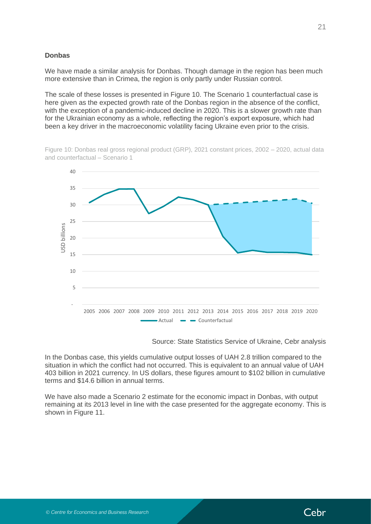#### **Donbas**

We have made a similar analysis for Donbas. Though damage in the region has been much more extensive than in Crimea, the region is only partly under Russian control.

The scale of these losses is presented in Figure 10. The Scenario 1 counterfactual case is here given as the expected growth rate of the Donbas region in the absence of the conflict, with the exception of a pandemic-induced decline in 2020. This is a slower growth rate than for the Ukrainian economy as a whole, reflecting the region's export exposure, which had been a key driver in the macroeconomic volatility facing Ukraine even prior to the crisis.

Figure 10: Donbas real gross regional product (GRP), 2021 constant prices, 2002 – 2020, actual data and counterfactual – Scenario 1



Source: State Statistics Service of Ukraine, Cebr analysis

In the Donbas case, this yields cumulative output losses of UAH 2.8 trillion compared to the situation in which the conflict had not occurred. This is equivalent to an annual value of UAH 403 billion in 2021 currency. In US dollars, these figures amount to \$102 billion in cumulative terms and \$14.6 billion in annual terms.

We have also made a Scenario 2 estimate for the economic impact in Donbas, with output remaining at its 2013 level in line with the case presented for the aggregate economy. This is shown in Figure 11.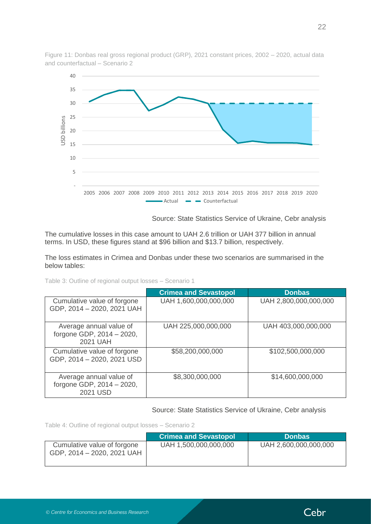

Figure 11: Donbas real gross regional product (GRP), 2021 constant prices, 2002 – 2020, actual data and counterfactual – Scenario 2

Source: State Statistics Service of Ukraine, Cebr analysis

The cumulative losses in this case amount to UAH 2.6 trillion or UAH 377 billion in annual terms. In USD, these figures stand at \$96 billion and \$13.7 billion, respectively.

The loss estimates in Crimea and Donbas under these two scenarios are summarised in the below tables:

| Table 3: Outline of regional output losses - Scenario 1 |  |  |  |
|---------------------------------------------------------|--|--|--|
|---------------------------------------------------------|--|--|--|

|                                                                  | <b>Crimea and Sevastopol</b> | <b>Donbas</b>         |  |  |
|------------------------------------------------------------------|------------------------------|-----------------------|--|--|
| Cumulative value of forgone<br>GDP, 2014 - 2020, 2021 UAH        | UAH 1,600,000,000,000        | UAH 2,800,000,000,000 |  |  |
| Average annual value of<br>forgone GDP, 2014 - 2020,<br>2021 UAH | UAH 225,000,000,000          | UAH 403,000,000,000   |  |  |
| Cumulative value of forgone<br>GDP, 2014 - 2020, 2021 USD        | \$58,200,000,000             | \$102,500,000,000     |  |  |
| Average annual value of<br>forgone GDP, 2014 - 2020,<br>2021 USD | \$8,300,000,000              | \$14,600,000,000      |  |  |

Source: State Statistics Service of Ukraine, Cebr analysis

Table 4: Outline of regional output losses – Scenario 2

|                                                           | <b>Crimea and Sevastopol</b> | <b>Donbas</b>         |
|-----------------------------------------------------------|------------------------------|-----------------------|
| Cumulative value of forgone<br>GDP, 2014 - 2020, 2021 UAH | UAH 1,500,000,000,000        | UAH 2,600,000,000,000 |

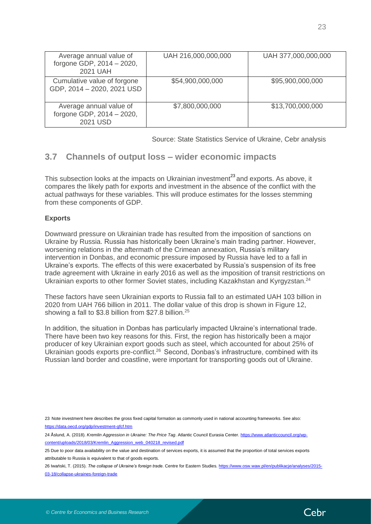| Average annual value of<br>forgone GDP, 2014 - 2020,<br>2021 UAH | UAH 216,000,000,000 | UAH 377,000,000,000 |
|------------------------------------------------------------------|---------------------|---------------------|
| Cumulative value of forgone<br>GDP, 2014 - 2020, 2021 USD        | \$54,900,000,000    | \$95,900,000,000    |
| Average annual value of<br>forgone GDP, 2014 - 2020,<br>2021 USD | \$7,800,000,000     | \$13,700,000,000    |

Source: State Statistics Service of Ukraine, Cebr analysis

### <span id="page-22-0"></span>**3.7 Channels of output loss – wider economic impacts**

This subsection looks at the impacts on Ukrainian investment<sup>23</sup> and exports. As above, it compares the likely path for exports and investment in the absence of the conflict with the actual pathways for these variables. This will produce estimates for the losses stemming from these components of GDP.

#### **Exports**

Downward pressure on Ukrainian trade has resulted from the imposition of sanctions on Ukraine by Russia. Russia has historically been Ukraine's main trading partner. However, worsening relations in the aftermath of the Crimean annexation, Russia's military intervention in Donbas, and economic pressure imposed by Russia have led to a fall in Ukraine's exports. The effects of this were exacerbated by Russia's suspension of its free trade agreement with Ukraine in early 2016 as well as the imposition of transit restrictions on Ukrainian exports to other former Soviet states, including Kazakhstan and Kyrgyzstan.<sup>24</sup>

These factors have seen Ukrainian exports to Russia fall to an estimated UAH 103 billion in 2020 from UAH 766 billion in 2011. The dollar value of this drop is shown in Figure 12, showing a fall to \$3.8 billion from \$27.8 billion.<sup>25</sup>

In addition, the situation in Donbas has particularly impacted Ukraine's international trade. There have been two key reasons for this. First, the region has historically been a major producer of key Ukrainian export goods such as steel, which accounted for about 25% of Ukrainian goods exports pre-conflict.<sup>26</sup> Second, Donbas's infrastructure, combined with its Russian land border and coastline, were important for transporting goods out of Ukraine.

26 [Iwański,](https://www.osw.waw.pl/en/eksperci/tadeusz-iwanski) T. (2015). *The collapse of Ukraine's foreign trade*. Centre for Eastern Studies[. https://www.osw.waw.pl/en/publikacje/analyses/2015-](https://www.osw.waw.pl/en/publikacje/analyses/2015-03-18/collapse-ukraines-foreign-trade) [03-18/collapse-ukraines-foreign-trade](https://www.osw.waw.pl/en/publikacje/analyses/2015-03-18/collapse-ukraines-foreign-trade)



<sup>23</sup> Note investment here describes the gross fixed capital formation as commonly used in national accounting frameworks. See also: <https://data.oecd.org/gdp/investment-gfcf.htm>

<sup>24</sup> Åslund, A. (2018). *Kremlin Aggression in Ukraine: The Price Tag*. Atlantic Council Eurasia Center[. https://www.atlanticcouncil.org/wp](https://www.atlanticcouncil.org/wp-content/uploads/2018/03/Kremlin_Aggression_web_040218_revised.pdf)[content/uploads/2018/03/Kremlin\\_Aggression\\_web\\_040218\\_revised.pdf](https://www.atlanticcouncil.org/wp-content/uploads/2018/03/Kremlin_Aggression_web_040218_revised.pdf)

<sup>25</sup> Due to poor data availability on the value and destination of services exports, it is assumed that the proportion of total services exports attributable to Russia is equivalent to that of goods exports.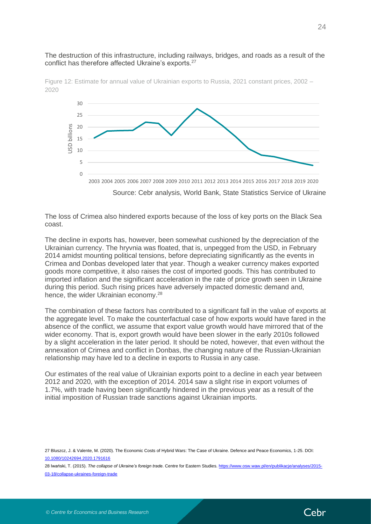#### The destruction of this infrastructure, including railways, bridges, and roads as a result of the conflict has therefore affected Ukraine's exports.<sup>27</sup>



Figure 12: Estimate for annual value of Ukrainian exports to Russia, 2021 constant prices, 2002 – 2020

The loss of Crimea also hindered exports because of the loss of key ports on the Black Sea coast.

The decline in exports has, however, been somewhat cushioned by the depreciation of the Ukrainian currency. The hryvnia was floated, that is, unpegged from the USD, in February 2014 amidst mounting political tensions, before depreciating significantly as the events in Crimea and Donbas developed later that year. Though a weaker currency makes exported goods more competitive, it also raises the cost of imported goods. This has contributed to imported inflation and the significant acceleration in the rate of price growth seen in Ukraine during this period. Such rising prices have adversely impacted domestic demand and, hence, the wider Ukrainian economy.<sup>28</sup>

The combination of these factors has contributed to a significant fall in the value of exports at the aggregate level. To make the counterfactual case of how exports would have fared in the absence of the conflict, we assume that export value growth would have mirrored that of the wider economy. That is, export growth would have been slower in the early 2010s followed by a slight acceleration in the later period. It should be noted, however, that even without the annexation of Crimea and conflict in Donbas, the changing nature of the Russian-Ukrainian relationship may have led to a decline in exports to Russia in any case.

Our estimates of the real value of Ukrainian exports point to a decline in each year between 2012 and 2020, with the exception of 2014. 2014 saw a slight rise in export volumes of 1.7%, with trade having been significantly hindered in the previous year as a result of the initial imposition of Russian trade sanctions against Ukrainian imports.

27 Bluszcz, J. & Valente, M. (2020). The Economic Costs of Hybrid Wars: The Case of Ukraine. Defence and Peace Economics, 1-25[. DOI:](https://doi.org/10.1080/10242694.2020.1791616)  [10.1080/10242694.2020.1791616](https://doi.org/10.1080/10242694.2020.1791616)

28 [Iwański,](https://www.osw.waw.pl/en/eksperci/tadeusz-iwanski) T. (2015). *The collapse of Ukraine's foreign trade*. Centre for Eastern Studies[. https://www.osw.waw.pl/en/publikacje/analyses/2015-](https://www.osw.waw.pl/en/publikacje/analyses/2015-03-18/collapse-ukraines-foreign-trade) [03-18/collapse-ukraines-foreign-trade](https://www.osw.waw.pl/en/publikacje/analyses/2015-03-18/collapse-ukraines-foreign-trade)

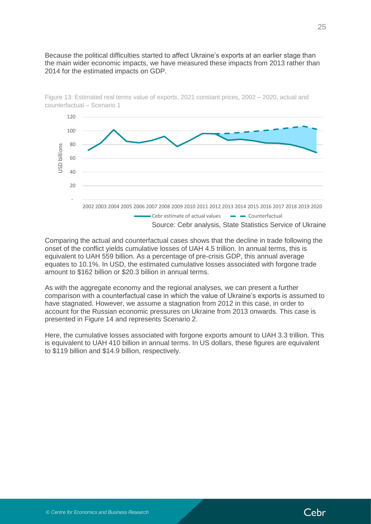Because the political difficulties started to affect Ukraine's exports at an earlier stage than the main wider economic impacts, we have measured these impacts from 2013 rather than 2014 for the estimated impacts on GDP.



Figure 13: Estimated real terms value of exports, 2021 constant prices, 2002 – 2020, actual and counterfactual – Scenario 1

Comparing the actual and counterfactual cases shows that the decline in trade following the onset of the conflict yields cumulative losses of UAH 4.5 trillion. In annual terms, this is equivalent to UAH 559 billion. As a percentage of pre-crisis GDP, this annual average equates to 10.1%. In USD, the estimated cumulative losses associated with forgone trade amount to \$162 billion or \$20.3 billion in annual terms.

As with the aggregate economy and the regional analyses, we can present a further comparison with a counterfactual case in which the value of Ukraine's exports is assumed to have stagnated. However, we assume a stagnation from 2012 in this case, in order to account for the Russian economic pressures on Ukraine from 2013 onwards. This case is presented in Figure 14 and represents Scenario 2.

Here, the cumulative losses associated with forgone exports amount to UAH 3.3 trillion. This is equivalent to UAH 410 billion in annual terms. In US dollars, these figures are equivalent to \$119 billion and \$14.9 billion, respectively.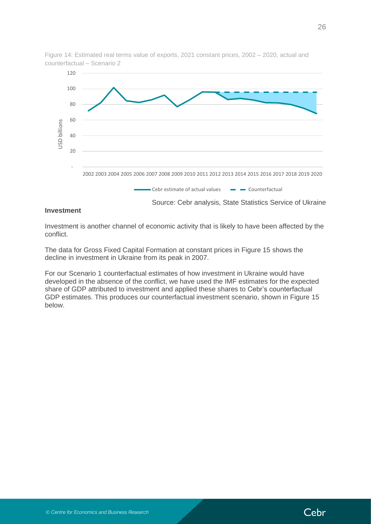

Figure 14: Estimated real terms value of exports, 2021 constant prices, 2002 – 2020, actual and counterfactual – Scenario 2

#### **Investment**

Investment is another channel of economic activity that is likely to have been affected by the conflict.

The data for Gross Fixed Capital Formation at constant prices in Figure 15 shows the decline in investment in Ukraine from its peak in 2007.

For our Scenario 1 counterfactual estimates of how investment in Ukraine would have developed in the absence of the conflict, we have used the IMF estimates for the expected share of GDP attributed to investment and applied these shares to Cebr's counterfactual GDP estimates. This produces our counterfactual investment scenario, shown in Figure 15 below.

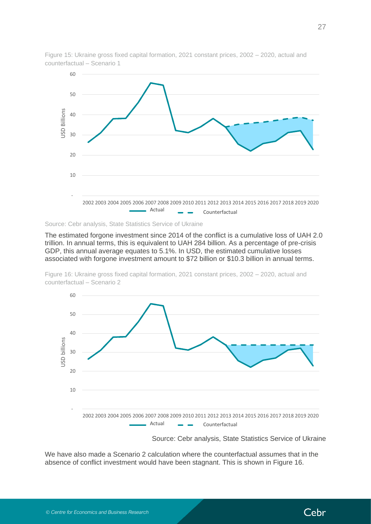

Figure 15: Ukraine gross fixed capital formation, 2021 constant prices, 2002 – 2020, actual and counterfactual – Scenario 1

Source: Cebr analysis, State Statistics Service of Ukraine

The estimated forgone investment since 2014 of the conflict is a cumulative loss of UAH 2.0 trillion. In annual terms, this is equivalent to UAH 284 billion. As a percentage of pre-crisis GDP, this annual average equates to 5.1%. In USD, the estimated cumulative losses associated with forgone investment amount to \$72 billion or \$10.3 billion in annual terms.

Figure 16: Ukraine gross fixed capital formation, 2021 constant prices, 2002 – 2020, actual and counterfactual – Scenario 2



Source: Cebr analysis, State Statistics Service of Ukraine

We have also made a Scenario 2 calculation where the counterfactual assumes that in the absence of conflict investment would have been stagnant. This is shown in Figure 16.

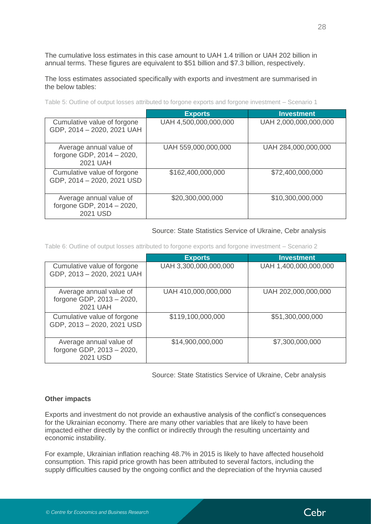The cumulative loss estimates in this case amount to UAH 1.4 trillion or UAH 202 billion in annual terms. These figures are equivalent to \$51 billion and \$7.3 billion, respectively.

The loss estimates associated specifically with exports and investment are summarised in the below tables:

|                                                                  | <b>Exports</b>        | <b>Investment</b>     |
|------------------------------------------------------------------|-----------------------|-----------------------|
| Cumulative value of forgone<br>GDP, 2014 - 2020, 2021 UAH        | UAH 4,500,000,000,000 | UAH 2,000,000,000,000 |
| Average annual value of<br>forgone GDP, 2014 - 2020,<br>2021 UAH | UAH 559,000,000,000   | UAH 284,000,000,000   |
| Cumulative value of forgone<br>GDP, 2014 - 2020, 2021 USD        | \$162,400,000,000     | \$72,400,000,000      |
| Average annual value of<br>forgone GDP, 2014 - 2020,<br>2021 USD | \$20,300,000,000      | \$10,300,000,000      |

#### Source: State Statistics Service of Ukraine, Cebr analysis

Table 6: Outline of output losses attributed to forgone exports and forgone investment – Scenario 2

|                                                                  | <b>Exports</b>        | Investment            |
|------------------------------------------------------------------|-----------------------|-----------------------|
| Cumulative value of forgone<br>GDP, 2013 - 2020, 2021 UAH        | UAH 3,300,000,000,000 | UAH 1,400,000,000,000 |
| Average annual value of<br>forgone GDP, 2013 - 2020,<br>2021 UAH | UAH 410,000,000,000   | UAH 202,000,000,000   |
| Cumulative value of forgone<br>GDP, 2013 - 2020, 2021 USD        | \$119,100,000,000     | \$51,300,000,000      |
| Average annual value of<br>forgone GDP, 2013 - 2020,<br>2021 USD | \$14,900,000,000      | \$7,300,000,000       |

Source: State Statistics Service of Ukraine, Cebr analysis

#### **Other impacts**

Exports and investment do not provide an exhaustive analysis of the conflict's consequences for the Ukrainian economy. There are many other variables that are likely to have been impacted either directly by the conflict or indirectly through the resulting uncertainty and economic instability.

For example, Ukrainian inflation reaching 48.7% in 2015 is likely to have affected household consumption. This rapid price growth has been attributed to several factors, including the supply difficulties caused by the ongoing conflict and the depreciation of the hryvnia caused

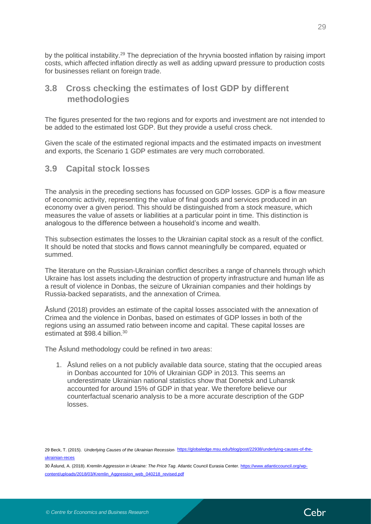by the political instability.<sup>29</sup> The depreciation of the hryvnia boosted inflation by raising import costs, which affected inflation directly as well as adding upward pressure to production costs for businesses reliant on foreign trade.

## <span id="page-28-0"></span>**3.8 Cross checking the estimates of lost GDP by different methodologies**

The figures presented for the two regions and for exports and investment are not intended to be added to the estimated lost GDP. But they provide a useful cross check.

Given the scale of the estimated regional impacts and the estimated impacts on investment and exports, the Scenario 1 GDP estimates are very much corroborated.

<span id="page-28-1"></span>**3.9 Capital stock losses**

The analysis in the preceding sections has focussed on GDP losses. GDP is a flow measure of economic activity, representing the value of final goods and services produced in an economy over a given period. This should be distinguished from a stock measure, which measures the value of assets or liabilities at a particular point in time. This distinction is analogous to the difference between a household's income and wealth.

This subsection estimates the losses to the Ukrainian capital stock as a result of the conflict. It should be noted that stocks and flows cannot meaningfully be compared, equated or summed.

The literature on the Russian-Ukrainian conflict describes a range of channels through which Ukraine has lost assets including the destruction of property infrastructure and human life as a result of violence in Donbas, the seizure of Ukrainian companies and their holdings by Russia-backed separatists, and the annexation of Crimea.

Åslund (2018) provides an estimate of the capital losses associated with the annexation of Crimea and the violence in Donbas, based on estimates of GDP losses in both of the regions using an assumed ratio between income and capital. These capital losses are estimated at \$98.4 billion. 30

The Åslund methodology could be refined in two areas:

1. Åslund relies on a not publicly available data source, stating that the occupied areas in Donbas accounted for 10% of Ukrainian GDP in 2013. This seems an underestimate Ukrainian national statistics show that Donetsk and Luhansk accounted for around 15% of GDP in that year. We therefore believe our counterfactual scenario analysis to be a more accurate description of the GDP losses.

30 Åslund, A. (2018). *Kremlin Aggression in Ukraine: The Price Tag*. Atlantic Council Eurasia Center[. https://www.atlanticcouncil.org/wp](https://www.atlanticcouncil.org/wp-content/uploads/2018/03/Kremlin_Aggression_web_040218_revised.pdf)[content/uploads/2018/03/Kremlin\\_Aggression\\_web\\_040218\\_revised.pdf](https://www.atlanticcouncil.org/wp-content/uploads/2018/03/Kremlin_Aggression_web_040218_revised.pdf)



<sup>29</sup> Beck, T. (2015). *Underlying Causes of the Ukrainian Recession.* [https://globaledge.msu.edu/blog/post/22938/underlying-causes-of-the](https://globaledge.msu.edu/blog/post/22938/underlying-causes-of-the-ukrainian-reces)[ukrainian-reces](https://globaledge.msu.edu/blog/post/22938/underlying-causes-of-the-ukrainian-reces)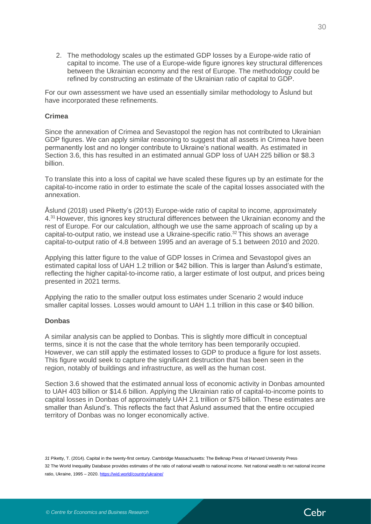2. The methodology scales up the estimated GDP losses by a Europe-wide ratio of capital to income. The use of a Europe-wide figure ignores key structural differences between the Ukrainian economy and the rest of Europe. The methodology could be refined by constructing an estimate of the Ukrainian ratio of capital to GDP.

For our own assessment we have used an essentially similar methodology to Åslund but have incorporated these refinements.

#### **Crimea**

Since the annexation of Crimea and Sevastopol the region has not contributed to Ukrainian GDP figures. We can apply similar reasoning to suggest that all assets in Crimea have been permanently lost and no longer contribute to Ukraine's national wealth. As estimated in Section 3.6, this has resulted in an estimated annual GDP loss of UAH 225 billion or \$8.3 billion.

To translate this into a loss of capital we have scaled these figures up by an estimate for the capital-to-income ratio in order to estimate the scale of the capital losses associated with the annexation.

Åslund (2018) used Piketty's (2013) Europe-wide ratio of capital to income, approximately 4.<sup>31</sup> However, this ignores key structural differences between the Ukrainian economy and the rest of Europe. For our calculation, although we use the same approach of scaling up by a capital-to-output ratio, we instead use a Ukraine-specific ratio. <sup>32</sup> This shows an average capital-to-output ratio of 4.8 between 1995 and an average of 5.1 between 2010 and 2020.

Applying this latter figure to the value of GDP losses in Crimea and Sevastopol gives an estimated capital loss of UAH 1.2 trillion or \$42 billion. This is larger than Åslund's estimate, reflecting the higher capital-to-income ratio, a larger estimate of lost output, and prices being presented in 2021 terms.

Applying the ratio to the smaller output loss estimates under Scenario 2 would induce smaller capital losses. Losses would amount to UAH 1.1 trillion in this case or \$40 billion.

#### **Donbas**

A similar analysis can be applied to Donbas. This is slightly more difficult in conceptual terms, since it is not the case that the whole territory has been temporarily occupied. However, we can still apply the estimated losses to GDP to produce a figure for lost assets. This figure would seek to capture the significant destruction that has been seen in the region, notably of buildings and infrastructure, as well as the human cost.

Section 3.6 showed that the estimated annual loss of economic activity in Donbas amounted to UAH 403 billion or \$14.6 billion. Applying the Ukrainian ratio of capital-to-income points to capital losses in Donbas of approximately UAH 2.1 trillion or \$75 billion. These estimates are smaller than Åslund's. This reflects the fact that Åslund assumed that the entire occupied territory of Donbas was no longer economically active.

*31* Piketty, T. (2014). Capital in the twenty-first century. Cambridge Massachusetts: The Belknap Press of Harvard University Press. 32 The World Inequality Database provides estimates of the ratio of national wealth to national income. Net national wealth to net national income ratio, Ukraine, 1995 – 2020[. https://wid.world/country/ukraine/](https://wid.world/country/ukraine/)

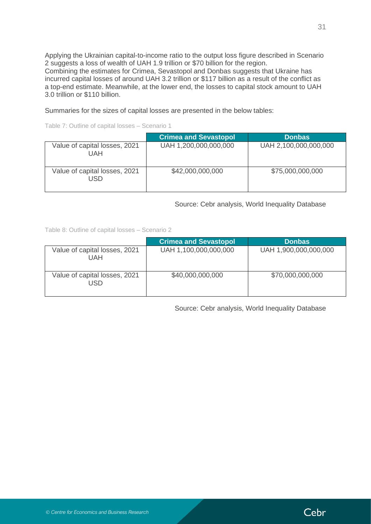Applying the Ukrainian capital-to-income ratio to the output loss figure described in Scenario 2 suggests a loss of wealth of UAH 1.9 trillion or \$70 billion for the region. Combining the estimates for Crimea, Sevastopol and Donbas suggests that Ukraine has incurred capital losses of around UAH 3.2 trillion or \$117 billion as a result of the conflict as a top-end estimate. Meanwhile, at the lower end, the losses to capital stock amount to UAH 3.0 trillion or \$110 billion.

Summaries for the sizes of capital losses are presented in the below tables:

Table 7: Outline of capital losses – Scenario 1

|                                      | <b>Crimea and Sevastopol</b> | <b>Donbas</b>         |
|--------------------------------------|------------------------------|-----------------------|
| Value of capital losses, 2021<br>UAH | UAH 1,200,000,000,000        | UAH 2,100,000,000,000 |
| Value of capital losses, 2021<br>USD | \$42,000,000,000             | \$75,000,000,000      |

Source: Cebr analysis, World Inequality Database

Table 8: Outline of capital losses – Scenario 2

|                                      | <b>Crimea and Sevastopol</b> | <b>Donbas</b>         |
|--------------------------------------|------------------------------|-----------------------|
| Value of capital losses, 2021<br>UAH | UAH 1,100,000,000,000        | UAH 1,900,000,000,000 |
| Value of capital losses, 2021<br>USD | \$40,000,000,000             | \$70,000,000,000      |

Source: Cebr analysis, World Inequality Database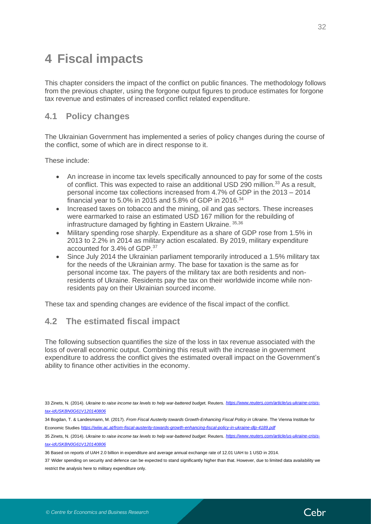# <span id="page-31-0"></span>**4 Fiscal impacts**

This chapter considers the impact of the conflict on public finances. The methodology follows from the previous chapter, using the forgone output figures to produce estimates for forgone tax revenue and estimates of increased conflict related expenditure.

### <span id="page-31-1"></span>**4.1 Policy changes**

The Ukrainian Government has implemented a series of policy changes during the course of the conflict, some of which are in direct response to it.

These include:

- An increase in income tax levels specifically announced to pay for some of the costs of conflict. This was expected to raise an additional USD 290 million.<sup>33</sup> As a result, personal income tax collections increased from 4.7% of GDP in the 2013 – 2014 financial year to 5.0% in 2015 and 5.8% of GDP in 2016.<sup>34</sup>
- Increased taxes on tobacco and the mining, oil and gas sectors. These increases were earmarked to raise an estimated USD 167 million for the rebuilding of infrastructure damaged by fighting in Eastern Ukraine. 35,36
- Military spending rose sharply. Expenditure as a share of GDP rose from 1.5% in 2013 to 2.2% in 2014 as military action escalated. By 2019, military expenditure accounted for 3.4% of GDP.<sup>37</sup>
- Since July 2014 the Ukrainian parliament temporarily introduced a 1.5% military tax for the needs of the Ukrainian army. The base for taxation is the same as for personal income tax. The payers of the military tax are both residents and nonresidents of Ukraine. Residents pay the tax on their worldwide income while nonresidents pay on their Ukrainian sourced income.

These tax and spending changes are evidence of the fiscal impact of the conflict.

### <span id="page-31-2"></span>**4.2 The estimated fiscal impact**

The following subsection quantifies the size of the loss in tax revenue associated with the loss of overall economic output. Combining this result with the increase in government expenditure to address the conflict gives the estimated overall impact on the Government's ability to finance other activities in the economy.



<sup>33</sup> Zinets, N. (2014). *Ukraine to raise income tax levels to help war-battered budge*t*.* Reuters. *https://www.reuters.com/article/*[us](https://www.reuters.com/article/us-ukraine-crisis-tax-idUSKBN0G61V120140806)*-ukraine-crisistax-idUSKBN0G61V120140806*

<sup>34</sup> Bogdan, T. & Landesmann, M. (2017). *From Fiscal Austerity towards Growth-Enhancing Fiscal Policy in Ukraine*. The Vienna Institute for Economic Studies *<https://wiiw.ac.at/from-fiscal-austerity-towards-growth-enhancing-fiscal-policy-in-ukraine-dlp-4189.pdf>*

<sup>35</sup> Zinets, N. (2014). *Ukraine to raise income tax levels to help war-battered budget.* Reuters. *https://www.reuters.com/articl[e/us-](https://www.reuters.com/article/us-ukraine-crisis-tax-idUSKBN0G61V120140806)ukraine-crisistax-idUSKBN0G61V120140806*

<sup>36</sup> Based on reports of UAH 2.0 billion in expenditure and average annual exchange rate of 12.01 UAH to 1 USD in 2014.

<sup>37</sup> Wider spending on security and defence can be expected to stand significantly higher than that. However, due to limited data availability we restrict the analysis here to military expenditure only.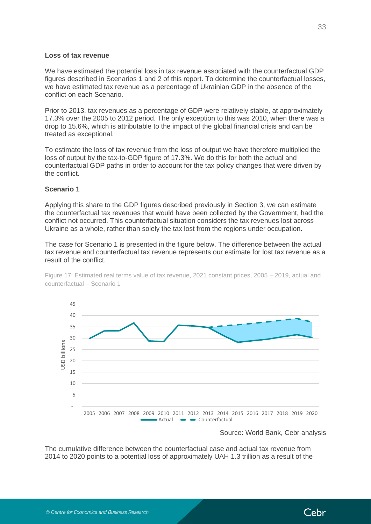#### **Loss of tax revenue**

We have estimated the potential loss in tax revenue associated with the counterfactual GDP figures described in Scenarios 1 and 2 of this report. To determine the counterfactual losses, we have estimated tax revenue as a percentage of Ukrainian GDP in the absence of the conflict on each Scenario.

Prior to 2013, tax revenues as a percentage of GDP were relatively stable, at approximately 17.3% over the 2005 to 2012 period. The only exception to this was 2010, when there was a drop to 15.6%, which is attributable to the impact of the global financial crisis and can be treated as exceptional.

To estimate the loss of tax revenue from the loss of output we have therefore multiplied the loss of output by the tax-to-GDP figure of 17.3%. We do this for both the actual and counterfactual GDP paths in order to account for the tax policy changes that were driven by the conflict.

#### **Scenario 1**

Applying this share to the GDP figures described previously in Section 3, we can estimate the counterfactual tax revenues that would have been collected by the Government, had the conflict not occurred. This counterfactual situation considers the tax revenues lost across Ukraine as a whole, rather than solely the tax lost from the regions under occupation.

The case for Scenario 1 is presented in the figure below. The difference between the actual tax revenue and counterfactual tax revenue represents our estimate for lost tax revenue as a result of the conflict.





Source: World Bank, Cebr analysis

The cumulative difference between the counterfactual case and actual tax revenue from 2014 to 2020 points to a potential loss of approximately UAH 1.3 trillion as a result of the

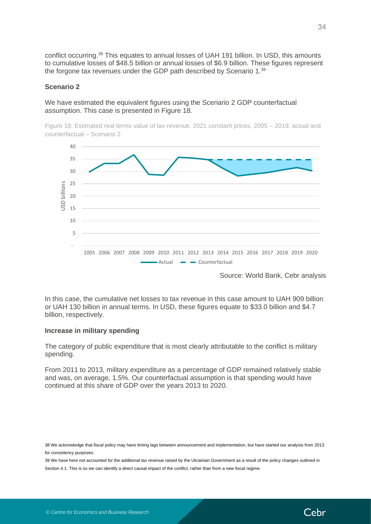conflict occurring.<sup>38</sup> This equates to annual losses of UAH 191 billion. In USD, this amounts to cumulative losses of \$48.5 billion or annual losses of \$6.9 billion. These figures represent the forgone tax revenues under the GDP path described by Scenario 1.<sup>39</sup>

#### **Scenario 2**

We have estimated the equivalent figures using the Scenario 2 GDP counterfactual assumption. This case is presented in Figure 18.

Figure 18: Estimated real terms value of tax revenue, 2021 constant prices, 2005 – 2019, actual and counterfactual – Scenario 2



Source: World Bank, Cebr analysis

In this case, the cumulative net losses to tax revenue in this case amount to UAH 909 billion or UAH 130 billion in annual terms. In USD, these figures equate to \$33.0 billion and \$4.7 billion, respectively.

#### **Increase in military spending**

The category of public expenditure that is most clearly attributable to the conflict is military spending.

From 2011 to 2013, military expenditure as a percentage of GDP remained relatively stable and was, on average, 1.5%. Our counterfactual assumption is that spending would have continued at this share of GDP over the years 2013 to 2020.

38 We acknowledge that fiscal policy may have timing lags between announcement and implementation, but have started our analysis from 2013 for consistency purposes.

39 We have here not accounted for the additional tax revenue raised by the Ukrainian Government as a result of the policy changes outlined in Section 4.1. This is so we can identify a direct causal impact of the conflict, rather than from a new fiscal regime.

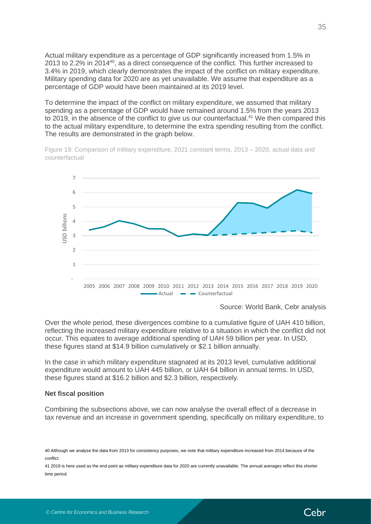Actual military expenditure as a percentage of GDP significantly increased from 1.5% in 2013 to 2.2% in 2014<sup>40</sup>, as a direct consequence of the conflict. This further increased to 3.4% in 2019, which clearly demonstrates the impact of the conflict on military expenditure. Military spending data for 2020 are as yet unavailable. We assume that expenditure as a percentage of GDP would have been maintained at its 2019 level.

To determine the impact of the conflict on military expenditure, we assumed that military spending as a percentage of GDP would have remained around 1.5% from the years 2013 to 2019, in the absence of the conflict to give us our counterfactual.<sup>41</sup> We then compared this to the actual military expenditure, to determine the extra spending resulting from the conflict. The results are demonstrated in the graph below.

Figure 19: Comparison of military expenditure, 2021 constant terms, 2013 – 2020, actual data and counterfactual



Source: World Bank, Cebr analysis

Over the whole period, these divergences combine to a cumulative figure of UAH 410 billion, reflecting the increased military expenditure relative to a situation in which the conflict did not occur. This equates to average additional spending of UAH 59 billion per year. In USD, these figures stand at \$14.9 billion cumulatively or \$2.1 billion annually.

In the case in which military expenditure stagnated at its 2013 level, cumulative additional expenditure would amount to UAH 445 billion, or UAH 64 billion in annual terms. In USD, these figures stand at \$16.2 billion and \$2.3 billion, respectively.

#### **Net fiscal position**

Combining the subsections above, we can now analyse the overall effect of a decrease in tax revenue and an increase in government spending, specifically on military expenditure, to

41 2019 is here used as the end point as military expenditure data for 2020 are currently unavailable. The annual averages reflect this shorter time period.



<sup>40</sup> Although we analyse the data from 2013 for consistency purposes, we note that military expenditure increased from 2014 because of the conflict.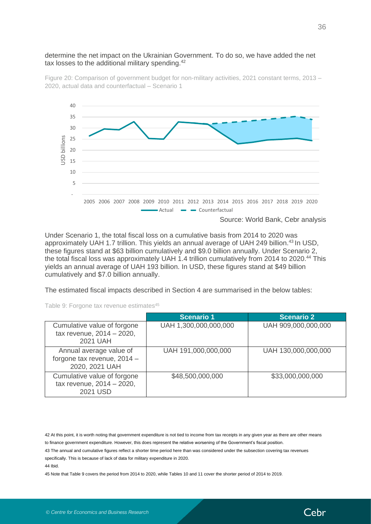#### determine the net impact on the Ukrainian Government. To do so, we have added the net tax losses to the additional military spending.<sup>42</sup>

Figure 20: Comparison of government budget for non-military activities, 2021 constant terms, 2013 – 2020, actual data and counterfactual – Scenario 1



Under Scenario 1, the total fiscal loss on a cumulative basis from 2014 to 2020 was approximately UAH 1.7 trillion. This yields an annual average of UAH 249 billion.<sup>43</sup> In USD, these figures stand at \$63 billion cumulatively and \$9.0 billion annually. Under Scenario 2, the total fiscal loss was approximately UAH 1.4 trillion cumulatively from 2014 to 2020.<sup>44</sup> This yields an annual average of UAH 193 billion. In USD, these figures stand at \$49 billion cumulatively and \$7.0 billion annually.

The estimated fiscal impacts described in Section 4 are summarised in the below tables:

Table 9: Forgone tax revenue estimates<sup>45</sup>

|                                                                          | <b>Scenario 1</b>     | <b>Scenario 2</b>   |
|--------------------------------------------------------------------------|-----------------------|---------------------|
| Cumulative value of forgone<br>tax revenue, 2014 - 2020,<br>2021 UAH     | UAH 1,300,000,000,000 | UAH 909,000,000,000 |
| Annual average value of<br>forgone tax revenue, 2014 -<br>2020, 2021 UAH | UAH 191,000,000,000   | UAH 130,000,000,000 |
| Cumulative value of forgone<br>tax revenue, 2014 - 2020,<br>2021 USD     | \$48,500,000,000      | \$33,000,000,000    |

42 At this point, it is worth noting that government expenditure is not tied to income from tax receipts in any given year as there are other means to finance government expenditure. However, this does represent the relative worsening of the Government's fiscal position.

43 The annual and cumulative figures reflect a shorter time period here than was considered under the subsection covering tax revenues specifically. This is because of lack of data for military expenditure in 2020.

44 Ibid.

45 Note that Table 9 covers the period from 2014 to 2020, while Tables 10 and 11 cover the shorter period of 2014 to 2019.

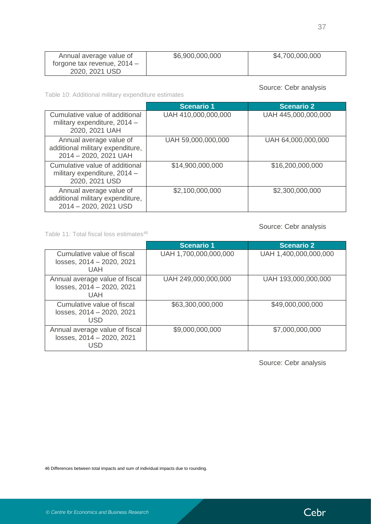| Annual average value of       | \$6,900,000,000 | \$4,700,000,000 |
|-------------------------------|-----------------|-----------------|
| forgone tax revenue, $2014 -$ |                 |                 |
| 2020, 2021 USD                |                 |                 |

sis<sup>,</sup>

Table 10: Additional military expenditure estimates

| Source: Cepr analysis |  |  |
|-----------------------|--|--|
|                       |  |  |

|                                                                                      | <b>Scenario 1</b>   | <b>Scenario 2</b>   |
|--------------------------------------------------------------------------------------|---------------------|---------------------|
| Cumulative value of additional<br>military expenditure, 2014 -<br>2020, 2021 UAH     | UAH 410,000,000,000 | UAH 445,000,000,000 |
| Annual average value of<br>additional military expenditure,<br>2014 - 2020, 2021 UAH | UAH 59,000,000,000  | UAH 64,000,000,000  |
| Cumulative value of additional<br>military expenditure, 2014 -<br>2020, 2021 USD     | \$14,900,000,000    | \$16,200,000,000    |
| Annual average value of<br>additional military expenditure,<br>2014 - 2020, 2021 USD | \$2,100,000,000     | \$2,300,000,000     |

### Source: Cebr analysis

Table 11: Total fiscal loss estimates<sup>46</sup>

|                                                                       | <b>Scenario 1</b>     | <b>Scenario 2</b>     |
|-----------------------------------------------------------------------|-----------------------|-----------------------|
| Cumulative value of fiscal<br>losses, 2014 - 2020, 2021<br><b>UAH</b> | UAH 1,700,000,000,000 | UAH 1,400,000,000,000 |
| Annual average value of fiscal<br>losses, 2014 - 2020, 2021<br>UAH    | UAH 249,000,000,000   | UAH 193,000,000,000   |
| Cumulative value of fiscal<br>losses, 2014 - 2020, 2021<br><b>USD</b> | \$63,300,000,000      | \$49,000,000,000      |
| Annual average value of fiscal<br>losses, 2014 - 2020, 2021<br>USD    | \$9,000,000,000       | \$7,000,000,000       |

Source: Cebr analysis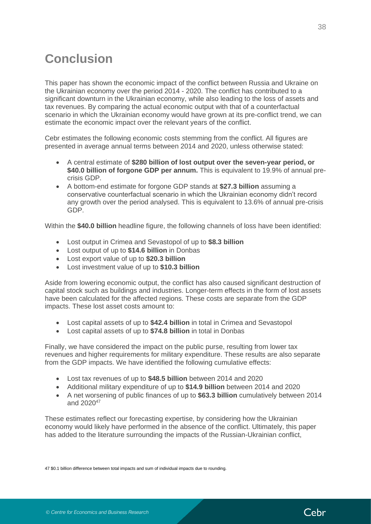# <span id="page-37-0"></span>**Conclusion**

This paper has shown the economic impact of the conflict between Russia and Ukraine on the Ukrainian economy over the period 2014 - 2020. The conflict has contributed to a significant downturn in the Ukrainian economy, while also leading to the loss of assets and tax revenues. By comparing the actual economic output with that of a counterfactual scenario in which the Ukrainian economy would have grown at its pre-conflict trend, we can estimate the economic impact over the relevant years of the conflict.

Cebr estimates the following economic costs stemming from the conflict. All figures are presented in average annual terms between 2014 and 2020, unless otherwise stated:

- A central estimate of **\$280 billion of lost output over the seven-year period, or \$40.0 billion of forgone GDP per annum.** This is equivalent to 19.9% of annual precrisis GDP.
- A bottom-end estimate for forgone GDP stands at **\$27.3 billion** assuming a conservative counterfactual scenario in which the Ukrainian economy didn't record any growth over the period analysed. This is equivalent to 13.6% of annual pre-crisis GDP.

Within the **\$40.0 billion** headline figure, the following channels of loss have been identified:

- Lost output in Crimea and Sevastopol of up to **\$8.3 billion**
- Lost output of up to **\$14.6 billion** in Donbas
- Lost export value of up to **\$20.3 billion**
- Lost investment value of up to **\$10.3 billion**

Aside from lowering economic output, the conflict has also caused significant destruction of capital stock such as buildings and industries. Longer-term effects in the form of lost assets have been calculated for the affected regions. These costs are separate from the GDP impacts. These lost asset costs amount to:

- Lost capital assets of up to **\$42.4 billion** in total in Crimea and Sevastopol
- Lost capital assets of up to **\$74.8 billion** in total in Donbas

Finally, we have considered the impact on the public purse, resulting from lower tax revenues and higher requirements for military expenditure. These results are also separate from the GDP impacts. We have identified the following cumulative effects:

- Lost tax revenues of up to **\$48.5 billion** between 2014 and 2020
- Additional military expenditure of up to **\$14.9 billion** between 2014 and 2020
- A net worsening of public finances of up to **\$63.3 billion** cumulatively between 2014 and 2020<sup>47</sup>

These estimates reflect our forecasting expertise, by considering how the Ukrainian economy would likely have performed in the absence of the conflict. Ultimately, this paper has added to the literature surrounding the impacts of the Russian-Ukrainian conflict,

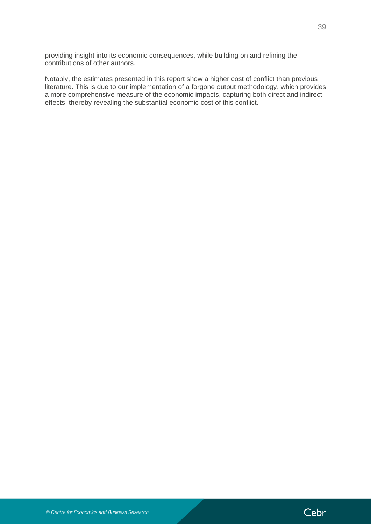providing insight into its economic consequences, while building on and refining the contributions of other authors.

Notably, the estimates presented in this report show a higher cost of conflict than previous literature. This is due to our implementation of a forgone output methodology, which provides a more comprehensive measure of the economic impacts, capturing both direct and indirect effects, thereby revealing the substantial economic cost of this conflict.

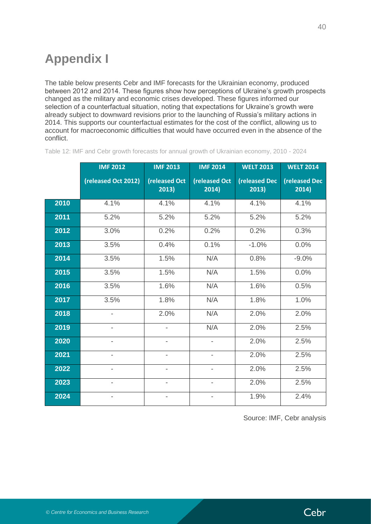# <span id="page-39-0"></span>**Appendix I**

The table below presents Cebr and IMF forecasts for the Ukrainian economy, produced between 2012 and 2014. These figures show how perceptions of Ukraine's growth prospects changed as the military and economic crises developed. These figures informed our selection of a counterfactual situation, noting that expectations for Ukraine's growth were already subject to downward revisions prior to the launching of Russia's military actions in 2014. This supports our counterfactual estimates for the cost of the conflict, allowing us to account for macroeconomic difficulties that would have occurred even in the absence of the conflict.

|      | <b>IMF 2012</b>          | <b>IMF 2013</b>          | <b>IMF 2014</b>          | <b>WELT 2013</b>               | <b>WELT 2014</b>               |
|------|--------------------------|--------------------------|--------------------------|--------------------------------|--------------------------------|
|      | (released Oct 2012)      | (released Oct<br>2013)   | (released Oct<br>2014)   | <b>(released Dec)</b><br>2013) | <b>(released Dec)</b><br>2014) |
| 2010 | 4.1%                     | 4.1%                     | 4.1%                     | 4.1%                           | 4.1%                           |
| 2011 | 5.2%                     | 5.2%                     | 5.2%                     | 5.2%                           | 5.2%                           |
| 2012 | 3.0%                     | 0.2%                     | 0.2%                     | 0.2%                           | 0.3%                           |
| 2013 | 3.5%                     | 0.4%                     | 0.1%                     | $-1.0%$                        | 0.0%                           |
| 2014 | 3.5%                     | 1.5%                     | N/A                      | 0.8%                           | $-9.0%$                        |
| 2015 | 3.5%                     | 1.5%                     | N/A                      | 1.5%                           | 0.0%                           |
| 2016 | 3.5%                     | 1.6%                     | N/A                      | 1.6%                           | 0.5%                           |
| 2017 | 3.5%                     | 1.8%                     | N/A                      | 1.8%                           | 1.0%                           |
| 2018 | $\overline{\phantom{0}}$ | 2.0%                     | N/A                      | 2.0%                           | 2.0%                           |
| 2019 |                          |                          | N/A                      | 2.0%                           | 2.5%                           |
| 2020 |                          |                          |                          | 2.0%                           | 2.5%                           |
| 2021 |                          | $\overline{\phantom{0}}$ | $\overline{\phantom{0}}$ | 2.0%                           | 2.5%                           |
| 2022 |                          | $\overline{\phantom{0}}$ | $\overline{\phantom{0}}$ | 2.0%                           | 2.5%                           |
| 2023 |                          | $\overline{\phantom{0}}$ | $\overline{\phantom{0}}$ | 2.0%                           | 2.5%                           |
| 2024 |                          |                          |                          | 1.9%                           | 2.4%                           |

Table 12: IMF and Cebr growth forecasts for annual growth of Ukrainian economy, 2010 - 2024

Source: IMF, Cebr analysis